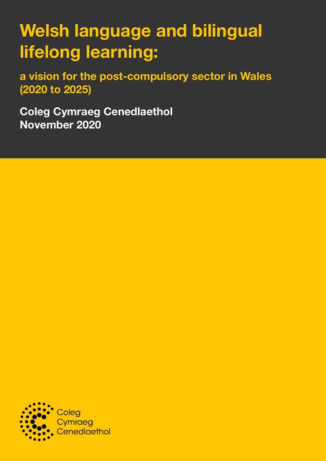# **Welsh language and bilingual lifelong learning:**

**a vision for the post-compulsory sector in Wales (2020 to 2025)**

**Coleg Cymraeg Cenedlaethol November 2020**

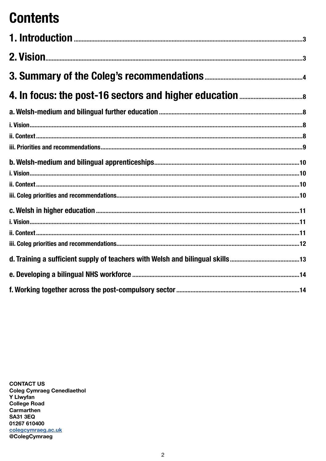# **Contents**

**CONTACT US Coleg Cymraeg Cenedlaethol Y Llwyfan College Road** Carmarthen **SA31 3EQ** 01267 610400 colegcymraeg.ac.uk @ColegCymraeg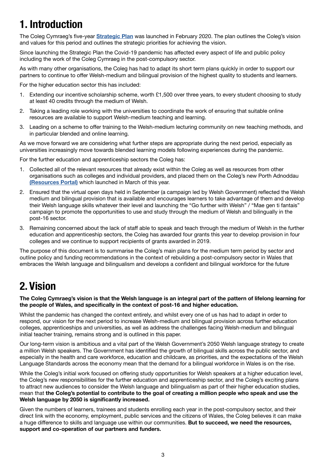# <span id="page-2-0"></span>**1. Introduction**

The Coleg Cymraeg's five-year **[Strategic Plan](http://www.colegcymraeg.ac.uk/en/aboutus/formsanddocuments/strategicplan/)** was launched in February 2020. The plan outlines the Coleg's vision and values for this period and outlines the strategic priorities for achieving the vision.

Since launching the Strategic Plan the Covid-19 pandemic has affected every aspect of life and public policy including the work of the Coleg Cymraeg in the post-compulsory sector.

As with many other organisations, the Coleg has had to adapt its short term plans quickly in order to support our partners to continue to offer Welsh-medium and bilingual provision of the highest quality to students and learners.

For the higher education sector this has included:

- 1. Extending our incentive scholarship scheme, worth £1,500 over three years, to every student choosing to study at least 40 credits through the medium of Welsh.
- 2. Taking a leading role working with the universities to coordinate the work of ensuring that suitable online resources are available to support Welsh-medium teaching and learning.
- 3. Leading on a scheme to offer training to the Welsh-medium lecturing community on new teaching methods, and in particular blended and online learning.

As we move forward we are considering what further steps are appropriate during the next period, especially as universities increasingly move towards blended learning models following experiences during the pandemic.

For the further education and apprenticeship sectors the Coleg has:

- 1. Collected all of the relevant resources that already exist within the Coleg as well as resources from other organisations such as colleges and individual providers, and placed them on the Coleg's new Porth Adnoddau **[\(Resources Portal\)](https://www.porth.ac.uk/?_locale=en)** which launched in March of this year.
- 2. Ensured that the virtual open days held in September (a campaign led by Welsh Government) reflected the Welsh medium and bilingual provision that is available and encourages learners to take advantage of them and develop their Welsh language skills whatever their level and launching the "Go further with Welsh" / "Mae gen ti fantais" campaign to promote the opportunities to use and study through the medium of Welsh and bilingually in the post-16 sector.
- 3. Remaining concerned about the lack of staff able to speak and teach through the medium of Welsh in the further education and apprenticeship sectors, the Coleg has awarded four grants this year to develop provision in four colleges and we continue to support recipients of grants awarded in 2019.

The purpose of this document is to summarise the Coleg's main plans for the medium term period by sector and outline policy and funding recommendations in the context of rebuilding a post-compulsory sector in Wales that embraces the Welsh language and bilingualism and develops a confident and bilingual workforce for the future

# **2. Vision**

#### **The Coleg Cymraeg's vision is that the Welsh language is an integral part of the pattern of lifelong learning for the people of Wales, and specifically in the context of post-16 and higher education.**

Whilst the pandemic has changed the context entirely, and whilst every one of us has had to adapt in order to respond, our vision for the next period to increase Welsh-medium and bilingual provision across further education colleges, apprenticeships and universities, as well as address the challenges facing Welsh-medium and bilingual initial teacher training, remains strong and is outlined in this paper.

Our long-term vision is ambitious and a vital part of the Welsh Government's 2050 Welsh language strategy to create a million Welsh speakers. The Government has identified the growth of bilingual skills across the public sector, and especially in the health and care workforce, education and childcare, as priorities, and the expectations of the Welsh Language Standards across the economy mean that the demand for a bilingual workforce in Wales is on the rise.

While the Coleg's initial work focused on offering study opportunities for Welsh speakers at a higher education level, the Coleg's new responsibilities for the further education and apprenticeship sector, and the Coleg's exciting plans to attract new audiences to consider the Welsh language and bilingualism as part of their higher education studies, mean that **the Coleg's potential to contribute to the goal of creating a million people who speak and use the Welsh language by 2050 is significantly increased.**

Given the numbers of learners, trainees and students enrolling each year in the post-compulsory sector, and their direct link with the economy, employment, public services and the citizens of Wales, the Coleg believes it can make a huge difference to skills and language use within our communities. **But to succeed, we need the resources, support and co-operation of our partners and funders.**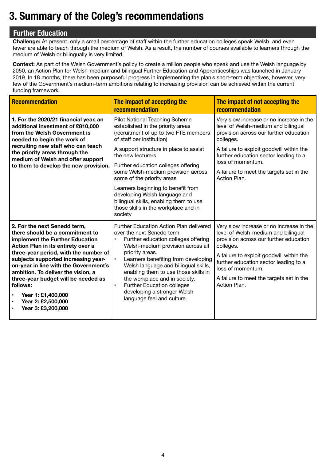# <span id="page-3-0"></span>**3. Summary of the Coleg's recommendations**

# **Further Education**

**Challenge:** At present, only a small percentage of staff within the further education colleges speak Welsh, and even fewer are able to teach through the medium of Welsh. As a result, the number of courses available to learners through the medium of Welsh or bilingually is very limited.

**Context:** As part of the Welsh Government's policy to create a million people who speak and use the Welsh language by 2050, an Action Plan for Welsh-medium and bilingual Further Education and Apprenticeships was launched in January 2019. In 18 months, there has been purposeful progress in implementing the plan's short-term objectives, however, very few of the Government's medium-term ambitions relating to increasing provision can be achieved within the current funding framework.

| <b>Recommendation</b>                                                                                                                                                                                                                                                                                                                                                                                                                                               | The impact of accepting the<br>recommendation                                                                                                                                                                                                                                                                                                                                                                                                                                           | The impact of not accepting the<br>recommendation                                                                                                                                                                                                                                                            |
|---------------------------------------------------------------------------------------------------------------------------------------------------------------------------------------------------------------------------------------------------------------------------------------------------------------------------------------------------------------------------------------------------------------------------------------------------------------------|-----------------------------------------------------------------------------------------------------------------------------------------------------------------------------------------------------------------------------------------------------------------------------------------------------------------------------------------------------------------------------------------------------------------------------------------------------------------------------------------|--------------------------------------------------------------------------------------------------------------------------------------------------------------------------------------------------------------------------------------------------------------------------------------------------------------|
| 1. For the 2020/21 financial year, an<br>additional investment of £810,000<br>from the Welsh Government is<br>needed to begin the work of<br>recruiting new staff who can teach<br>the priority areas through the<br>medium of Welsh and offer support<br>to them to develop the new provision.                                                                                                                                                                     | Pilot National Teaching Scheme<br>established in the priority areas<br>(recruitment of up to two FTE members<br>of staff per institution)<br>A support structure in place to assist<br>the new lecturers<br>Further education colleges offering<br>some Welsh-medium provision across<br>some of the priority areas<br>Learners beginning to benefit from<br>developing Welsh language and<br>bilingual skills, enabling them to use<br>those skills in the workplace and in<br>society | Very slow increase or no increase in the<br>level of Welsh-medium and bilingual<br>provision across our further education<br>colleges.<br>A failure to exploit goodwill within the<br>further education sector leading to a<br>loss of momentum.<br>A failure to meet the targets set in the<br>Action Plan. |
| 2. For the next Senedd term,<br>there should be a commitment to<br>implement the Further Education<br>Action Plan in its entirety over a<br>three-year period, with the number of<br>subjects supported increasing year-<br>on-year in line with the Government's<br>ambition. To deliver the vision, a<br>three-year budget will be needed as<br>follows:<br>Year 1: £1,400,000<br>$\bullet$<br>Year 2: £2,500,000<br>$\bullet$<br>Year 3: £3,200,000<br>$\bullet$ | Further Education Action Plan delivered<br>over the next Senedd term:<br>Further education colleges offering<br>$\bullet$<br>Welsh-medium provision across all<br>priority areas.<br>Learners benefiting from developing<br>$\bullet$<br>Welsh language and bilingual skills,<br>enabling them to use those skills in<br>the workplace and in society.<br>Further Education colleges<br>$\bullet$<br>developing a stronger Welsh<br>language feel and culture.                          | Very slow increase or no increase in the<br>level of Welsh-medium and bilingual<br>provision across our further education<br>colleges.<br>A failure to exploit goodwill within the<br>further education sector leading to a<br>loss of momentum.<br>A failure to meet the targets set in the<br>Action Plan. |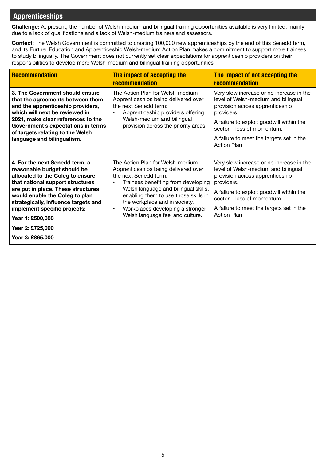# **Apprenticeships**

**Challenge:** At present, the number of Welsh-medium and bilingual training opportunities available is very limited, mainly due to a lack of qualifications and a lack of Welsh-medium trainers and assessors.

**Context:** The Welsh Government is committed to creating 100,000 new apprenticeships by the end of this Senedd term, and its Further Education and Apprenticeship Welsh-medium Action Plan makes a commitment to support more trainees to study bilingually. The Government does not currently set clear expectations for apprenticeship providers on their responsibilities to develop more Welsh-medium and bilingual training opportunities

| Recommendation                                                                                                                                                                                                                                                                                                                                    | The impact of accepting the<br>recommendation                                                                                                                                                                                                                                                                                                               | The impact of not accepting the<br><b>recommendation</b>                                                                                                                                                                                                                     |
|---------------------------------------------------------------------------------------------------------------------------------------------------------------------------------------------------------------------------------------------------------------------------------------------------------------------------------------------------|-------------------------------------------------------------------------------------------------------------------------------------------------------------------------------------------------------------------------------------------------------------------------------------------------------------------------------------------------------------|------------------------------------------------------------------------------------------------------------------------------------------------------------------------------------------------------------------------------------------------------------------------------|
| 3. The Government should ensure<br>that the agreements between them<br>and the apprenticeship providers,<br>which will next be reviewed in<br>2021, make clear references to the<br>Government's expectations in terms<br>of targets relating to the Welsh<br>language and bilingualism.                                                          | The Action Plan for Welsh-medium<br>Apprenticeships being delivered over<br>the next Senedd term:<br>Apprenticeship providers offering<br>Welsh-medium and bilingual<br>provision across the priority areas                                                                                                                                                 | Very slow increase or no increase in the<br>level of Welsh-medium and bilingual<br>provision across apprenticeship<br>providers.<br>A failure to exploit goodwill within the<br>sector – loss of momentum.<br>A failure to meet the targets set in the<br><b>Action Plan</b> |
| 4. For the next Senedd term, a<br>reasonable budget should be<br>allocated to the Coleg to ensure<br>that national support structures<br>are put in place. These structures<br>would enable the Coleg to plan<br>strategically, influence targets and<br>implement specific projects:<br>Year 1: £500,000<br>Year 2: £725,000<br>Year 3: £865,000 | The Action Plan for Welsh-medium<br>Apprenticeships being delivered over<br>the next Senedd term:<br>Trainees benefiting from developing<br>$\bullet$<br>Welsh language and bilingual skills,<br>enabling them to use those skills in<br>the workplace and in society.<br>Workplaces developing a stronger<br>$\bullet$<br>Welsh language feel and culture. | Very slow increase or no increase in the<br>level of Welsh-medium and bilingual<br>provision across apprenticeship<br>providers.<br>A failure to exploit goodwill within the<br>sector - loss of momentum.<br>A failure to meet the targets set in the<br><b>Action Plan</b> |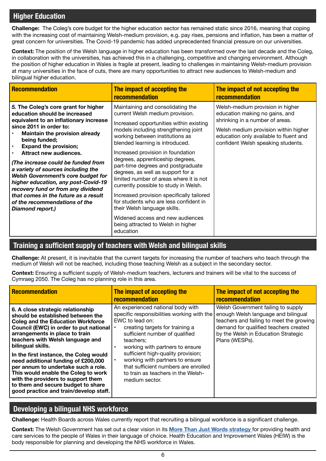# **Higher Education**

**Challenge:** The Coleg's core budget for the higher education sector has remained static since 2016, meaning that coping with the increasing cost of maintaining Welsh-medium provision, e.g. pay rises, pensions and inflation, has been a matter of great concern for universities. The Covid-19 pandemic has added unprecedented financial pressure on our universities.

**Context:** The position of the Welsh language in higher education has been transformed over the last decade and the Coleg, in collaboration with the universities, has achieved this in a challenging, competitive and changing environment. Although the position of higher education in Wales is fragile at present, leading to challenges in maintaining Welsh-medium provision at many universities in the face of cuts, there are many opportunities to attract new audiences to Welsh-medium and bilingual higher education.

| <b>Recommendation</b>                                                                                                                                                                                                                                                                                                                                                                                                                                                                                                                                                          | The impact of accepting the<br><b>recommendation</b>                                                                                                                                                                                                                                                                                                                                                                                                                                                                                                                                                                                                                                | The impact of not accepting the<br><b>recommendation</b>                                                                                                                                                                      |
|--------------------------------------------------------------------------------------------------------------------------------------------------------------------------------------------------------------------------------------------------------------------------------------------------------------------------------------------------------------------------------------------------------------------------------------------------------------------------------------------------------------------------------------------------------------------------------|-------------------------------------------------------------------------------------------------------------------------------------------------------------------------------------------------------------------------------------------------------------------------------------------------------------------------------------------------------------------------------------------------------------------------------------------------------------------------------------------------------------------------------------------------------------------------------------------------------------------------------------------------------------------------------------|-------------------------------------------------------------------------------------------------------------------------------------------------------------------------------------------------------------------------------|
| 5. The Coleg's core grant for higher<br>education should be increased<br>equivalent to an inflationary increase<br>since 2011 in order to:<br><b>Maintain the provision already</b><br>being funded;<br><b>Expand the provision;</b><br>$\bullet$<br>Attract new audiences.<br>(The increase could be funded from<br>a variety of sources including the<br><b>Welsh Government's core budget for</b><br>higher education, any post-Covid-19<br>recovery fund or from any dividend<br>that comes in the future as a result<br>of the recommendations of the<br>Diamond report.) | Maintaining and consolidating the<br>current Welsh medium provision.<br>Increased opportunities within existing<br>models including strengthening joint<br>working between institutions as<br>blended learning is introduced.<br>Increased provision in foundation<br>degrees, apprenticeship degrees,<br>part-time degrees and postgraduate<br>degrees, as well as support for a<br>limited number of areas where it is not<br>currently possible to study in Welsh.<br>Increased provision specifically tailored<br>for students who are less confident in<br>their Welsh language skills.<br>Widened access and new audiences<br>being attracted to Welsh in higher<br>education | Welsh-medium provision in higher<br>education making no gains, and<br>shrinking in a number of areas.<br>Welsh medium provision within higher<br>education only available to fluent and<br>confident Welsh speaking students. |

### **Training a sufficient supply of teachers with Welsh and bilingual skills**

**Challenge:** At present, it is inevitable that the current targets for increasing the number of teachers who teach through the medium of Welsh will not be reached, including those teaching Welsh as a subject in the secondary sector.

**Context:** Ensuring a sufficient supply of Welsh-medium teachers, lecturers and trainers will be vital to the success of Cymraeg 2050. The Coleg has no planning role in this area.

| <b>Recommendation</b>                                                                                                                                                                                                                                                                                                                                                                                                                                                                                                                        | The impact of accepting the<br>recommendation                                                                                                                                                                                                                                                                                                                                                    | The impact of not accepting the<br>recommendation                                                                                                                                                                       |
|----------------------------------------------------------------------------------------------------------------------------------------------------------------------------------------------------------------------------------------------------------------------------------------------------------------------------------------------------------------------------------------------------------------------------------------------------------------------------------------------------------------------------------------------|--------------------------------------------------------------------------------------------------------------------------------------------------------------------------------------------------------------------------------------------------------------------------------------------------------------------------------------------------------------------------------------------------|-------------------------------------------------------------------------------------------------------------------------------------------------------------------------------------------------------------------------|
| 6. A close strategic relationship<br>should be established between the<br><b>Coleg and the Education Workforce</b><br>Council (EWC) in order to put national<br>arrangements in place to train<br>teachers with Welsh language and<br>bilingual skills.<br>In the first instance, the Coleg would<br>need additional funding of £200,000<br>per annum to undertake such a role.<br>This would enable the Coleg to work<br>with the providers to support them<br>to them and secure budget to share<br>good practice and train/develop staff. | An experienced national body with<br>specific responsibilities working with the<br>EWC to lead on:<br>creating targets for training a<br>sufficient number of qualified<br>teachers:<br>working with partners to ensure<br>sufficient high-quality provision;<br>working with partners to ensure<br>that sufficient numbers are enrolled<br>to train as teachers in the Welsh-<br>medium sector. | Welsh Government failing to supply<br>enough Welsh language and bilingual<br>teachers and failing to meet the growing<br>demand for qualified teachers created<br>by the Welsh in Education Strategic<br>Plans (WESPs). |

### **Developing a bilingual NHS workforce**

**Challenge:** Health Boards across Wales currently report that recruiting a bilingual workforce is a significant challenge.

**Context:** The Welsh Government has set out a clear vision in its **[More Than Just Words strategy](https://gov.wales/sites/default/files/publications/2019-07/more-than-just-words-action-plan-2019-2020.pdf)** for providing health and care services to the people of Wales in their language of choice. Health Education and Improvement Wales (HEIW) is the body responsible for planning and developing the NHS workforce in Wales.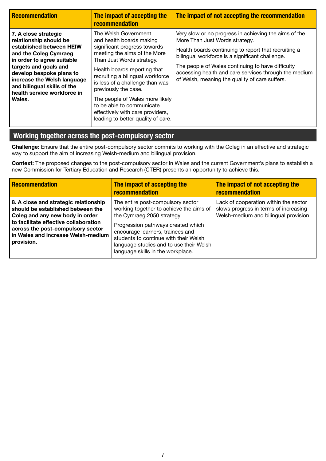| <b>Recommendation</b>                                                                                                                                                                                                                                                                         | The impact of accepting the<br>recommendation                                                                                                                                                                                                                                                                                                                                                                          | The impact of not accepting the recommendation                                                                                                                                                                                                                                                                                                                     |
|-----------------------------------------------------------------------------------------------------------------------------------------------------------------------------------------------------------------------------------------------------------------------------------------------|------------------------------------------------------------------------------------------------------------------------------------------------------------------------------------------------------------------------------------------------------------------------------------------------------------------------------------------------------------------------------------------------------------------------|--------------------------------------------------------------------------------------------------------------------------------------------------------------------------------------------------------------------------------------------------------------------------------------------------------------------------------------------------------------------|
| 7. A close strategic<br>relationship should be<br>established between HEIW<br>and the Coleg Cymraeg<br>in order to agree suitable<br>targets and goals and<br>develop bespoke plans to<br>increase the Welsh language<br>and bilingual skills of the<br>health service workforce in<br>Wales. | The Welsh Government<br>and health boards making<br>significant progress towards<br>meeting the aims of the More<br>Than Just Words strategy.<br>Health boards reporting that<br>recruiting a bilingual workforce<br>is less of a challenge than was<br>previously the case.<br>The people of Wales more likely<br>to be able to communicate<br>effectively with care providers,<br>leading to better quality of care. | Very slow or no progress in achieving the aims of the<br>More Than Just Words strategy.<br>Health boards continuing to report that recruiting a<br>bilingual workforce is a significant challenge.<br>The people of Wales continuing to have difficulty<br>accessing health and care services through the medium<br>of Welsh, meaning the quality of care suffers. |

# **Working together across the post-compulsory sector**

**Challenge:** Ensure that the entire post-compulsory sector commits to working with the Coleg in an effective and strategic way to support the aim of increasing Welsh-medium and bilingual provision.

**Context:** The proposed changes to the post-compulsory sector in Wales and the current Government's plans to establish a new Commission for Tertiary Education and Research (CTER) presents an opportunity to achieve this.

| <b>Recommendation</b>                                                                                                                                                                                                                           | The impact of accepting the<br>recommendation                                                                                                                                                                                                                                                                 | The impact of not accepting the<br>recommendation                                                                       |
|-------------------------------------------------------------------------------------------------------------------------------------------------------------------------------------------------------------------------------------------------|---------------------------------------------------------------------------------------------------------------------------------------------------------------------------------------------------------------------------------------------------------------------------------------------------------------|-------------------------------------------------------------------------------------------------------------------------|
| 8. A close and strategic relationship<br>should be established between the<br>Coleg and any new body in order<br>to facilitate effective collaboration<br>across the post-compulsory sector<br>in Wales and increase Welsh-medium<br>provision. | The entire post-compulsory sector<br>working together to achieve the aims of<br>the Cymraeg 2050 strategy.<br>Progression pathways created which<br>encourage learners, trainees and<br>students to continue with their Welsh<br>language studies and to use their Welsh<br>language skills in the workplace. | Lack of cooperation within the sector<br>slows progress in terms of increasing<br>Welsh-medium and bilingual provision. |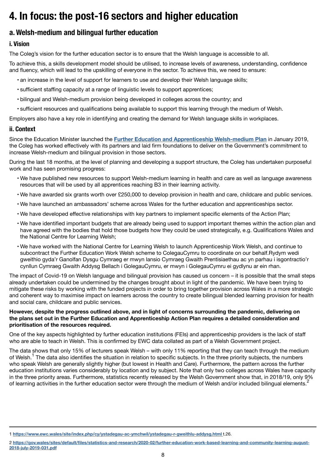# <span id="page-7-0"></span>**4. In focus: the post-16 sectors and higher education**

# **a. Welsh-medium and bilingual further education**

# **i. Vision**

The Coleg's vision for the further education sector is to ensure that the Welsh language is accessible to all.

To achieve this, a skills development model should be utilised, to increase levels of awareness, understanding, confidence and fluency, which will lead to the upskilling of everyone in the sector. To achieve this, we need to ensure:

- an increase in the level of support for learners to use and develop their Welsh language skills;
- sufficient staffing capacity at a range of linguistic levels to support apprentices;
- bilingual and Welsh-medium provision being developed in colleges across the country; and
- sufficient resources and qualifications being available to support this learning through the medium of Welsh.

Employers also have a key role in identifying and creating the demand for Welsh language skills in workplaces.

# **ii. Context**

Since the Education Minister launched the **[Further Education and Apprenticeship Welsh-medium Plan](http://www.colegcymraeg.ac.uk/en/media/main/2015colegcymraeg/dogfennau/s-2210/towardscymraeg2050.pdf)** in January 2019, the Coleg has worked effectively with its partners and laid firm foundations to deliver on the Government's commitment to increase Welsh-medium and bilingual provision in those sectors.

During the last 18 months, at the level of planning and developing a support structure, the Coleg has undertaken purposeful work and has seen promising progress:

- We have published new resources to support Welsh-medium learning in health and care as well as language awareness resources that will be used by all apprentices reaching B3 in their learning activity.
- We have awarded six grants worth over £250,000 to develop provision in health and care, childcare and public services.
- We have launched an ambassadors' scheme across Wales for the further education and apprenticeships sector.
- We have developed effective relationships with key partners to implement specific elements of the Action Plan;
- We have identified important budgets that are already being used to support important themes within the action plan and have agreed with the bodies that hold those budgets how they could be used strategically, e.g. Qualifications Wales and the National Centre for Learning Welsh;
- We have worked with the National Centre for Learning Welsh to launch Apprenticeship Work Welsh, and continue to subcontract the Further Education Work Welsh scheme to ColegauCymru to coordinate on our behalf.Rydym wedi gweithio gyda'r Ganolfan Dysgu Cymraeg er mwyn lansio Cymraeg Gwaith Prentisiaethau ac yn parhau i isgontractio'r cynllun Cymraeg Gwaith Addysg Bellach i GolegauCymru, er mwyn i GolegauCymru ei gydlynu ar ein rhan.

The impact of Covid-19 on Welsh language and bilingual provision has caused us concern – it is possible that the small steps already undertaken could be undermined by the changes brought about in light of the pandemic. We have been trying to mitigate these risks by working with the funded projects in order to bring together provision across Wales in a more strategic and coherent way to maximise impact on learners across the country to create bilingual blended learning provision for health and social care, childcare and public services.

#### **However, despite the progress outlined above, and in light of concerns surrounding the pandemic, delivering on the plans set out in the Further Education and Apprenticeship Action Plan requires a detailed consideration and prioritisation of the resources required.**

One of the key aspects highlighted by further education institutions (FEIs) and apprenticeship providers is the lack of staff who are able to teach in Welsh. This is confirmed by EWC data collated as part of a Welsh Government project.

The data shows that only 15% of lecturers speak Welsh – with only 11% reporting that they can teach through the medium of Welsh.<sup>1</sup> The data also identifies the situation in relation to specific subjects. In the three priority subjects, the numbers who speak Welsh are generally slightly higher (but lowest in Health and Care). Furthermore, the pattern across the further education institutions varies considerably by location and by subject. Note that only two colleges across Wales have capacity in the three priority areas. Furthermore, statistics recently released by the Welsh Government show that, in 2018/19, only 9% of learning activities in the further education sector were through the medium of Welsh and/or included bilingual elements.<sup>2</sup>

<sup>1</sup> **[https://www.ewc.wales/site/index.php/cy/ystadegau-ac-ymchwil/ystadegau-r-gweithlu-addysg.html](https://www.ewc.wales/site/index.php/cy/ystadegau-ac-ymchwil/ystadegau-r-gweithlu-addysg.html t.26. )** t.26.

<sup>2</sup> **[https://gov.wales/sites/default/files/statistics-and-research/2020-02/further-education-work-based-learning-and-community-learning-august-](https://gov.wales/sites/default/files/statistics-and-research/2020-02/further-education-work-based-learning-and-community-learning-august-2018-july-2019-031.pdf)[2018-july-2019-031.pdf](https://gov.wales/sites/default/files/statistics-and-research/2020-02/further-education-work-based-learning-and-community-learning-august-2018-july-2019-031.pdf)**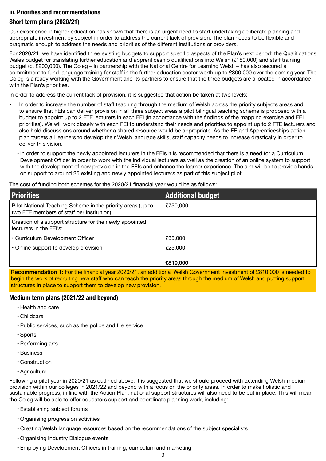#### <span id="page-8-0"></span>**iii. Priorities and recommendations**

#### **Short term plans (2020/21)**

Our experience in higher education has shown that there is an urgent need to start undertaking deliberate planning and appropriate investment by subject in order to address the current lack of provision. The plan needs to be flexible and pragmatic enough to address the needs and priorities of the different institutions or providers.

For 2020/21, we have identified three existing budgets to support specific aspects of the Plan's next period: the Qualifications Wales budget for translating further education and apprenticeship qualifications into Welsh (£180,000) and staff training budget (c. £200,000). The Coleg – in partnership with the National Centre for Learning Welsh – has also secured a commitment to fund language training for staff in the further education sector worth up to £300,000 over the coming year. The Coleg is already working with the Government and its partners to ensure that the three budgets are allocated in accordance with the Plan's priorities.

In order to address the current lack of provision, it is suggested that action be taken at two levels:

- In order to increase the number of staff teaching through the medium of Welsh across the priority subjects areas and to ensure that FEIs can deliver provision in all three subject areas a pilot bilingual teaching scheme is proposed with a budget to appoint up to 2 FTE lecturers in each FEI (in accordance with the findings of the mapping exercise and FEI priorities). We will work closely with each FEI to understand their needs and priorities to appoint up to 2 FTE lecturers and also hold discussions around whether a shared resource would be appropriate. As the FE and Apprenticeships action plan targets all learners to develop their Welsh language skills, staff capacity needs to increase drastically in order to deliver this vision.
	- In order to support the newly appointed lecturers in the FEIs it is recommended that there is a need for a Curriculum Development Officer in order to work with the individual lecturers as well as the creation of an online system to support with the development of new provision in the FEIs and enhance the learner experience. The aim will be to provide hands on support to around 25 existing and newly appointed lecturers as part of this subject pilot.

The cost of funding both schemes for the 2020/21 financial year would be as follows:

| <b>Priorities</b>                                                                                        | <b>Additional budget</b> |
|----------------------------------------------------------------------------------------------------------|--------------------------|
| Pilot National Teaching Scheme in the priority areas (up to<br>two FTE members of staff per institution) | £750,000                 |
| Creation of a support structure for the newly appointed<br>lecturers in the FEI's:                       |                          |
| • Curriculum Development Officer                                                                         | £35,000                  |
| • Online support to develop provision                                                                    | £25,000                  |
|                                                                                                          | £810,000                 |

**Recommendation 1:** For the financial year 2020/21, an additional Welsh Government investment of £810,000 is needed to begin the work of recruiting new staff who can teach the priority areas through the medium of Welsh and putting support structures in place to support them to develop new provision.

#### **Medium term plans (2021/22 and beyond)**

- Health and care
- Childcare
- Public services, such as the police and fire service
- Sports
- Performing arts
- Business
- Construction
- Agriculture

Following a pilot year in 2020/21 as outlined above, it is suggested that we should proceed with extending Welsh-medium provision within our colleges in 2021/22 and beyond with a focus on the priority areas. In order to make holistic and sustainable progress, in line with the Action Plan, national support structures will also need to be put in place. This will mean the Coleg will be able to offer educators support and coordinate planning work, including:

- Establishing subject forums
- Organising progression activities
- Creating Welsh language resources based on the recommendations of the subject specialists
- Organising Industry Dialogue events
- Employing Development Officers in training, curriculum and marketing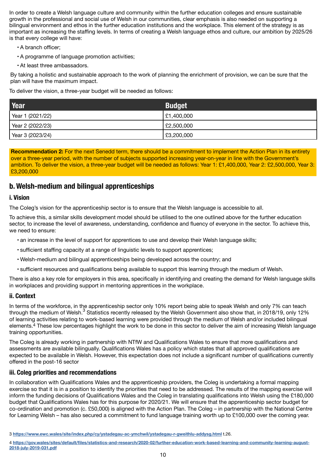<span id="page-9-0"></span>In order to create a Welsh language culture and community within the further education colleges and ensure sustainable growth in the professional and social use of Welsh in our communities, clear emphasis is also needed on supporting a bilingual environment and ethos in the further education institutions and the workplace. This element of the strategy is as important as increasing the staffing levels. In terms of creating a Welsh language ethos and culture, our ambition by 2025/26 is that every college will have:

- A branch officer;
- A programme of language promotion activities;
- At least three ambassadors.

By taking a holistic and sustainable approach to the work of planning the enrichment of provision, we can be sure that the plan will have the maximum impact.

To deliver the vision, a three-year budget will be needed as follows:

| Year             | <b>Budget</b> |
|------------------|---------------|
| Year 1 (2021/22) | £1,400,000    |
| Year 2 (2022/23) | £2,500,000    |
| Year 3 (2023/24) | £3,200,000    |

**Recommendation 2:** For the next Senedd term, there should be a commitment to implement the Action Plan in its entirety over a three-year period, with the number of subjects supported increasing year-on-year in line with the Government's ambition. To deliver the vision, a three-year budget will be needed as follows: Year 1: £1,400,000, Year 2: £2,500,000, Year 3: £3,200,000

## **b. Welsh-medium and bilingual apprenticeships**

#### **i. Vision**

The Coleg's vision for the apprenticeship sector is to ensure that the Welsh language is accessible to all.

To achieve this, a similar skills development model should be utilised to the one outlined above for the further education sector, to increase the level of awareness, understanding, confidence and fluency of everyone in the sector. To achieve this, we need to ensure:

- an increase in the level of support for apprentices to use and develop their Welsh language skills;
- sufficient staffing capacity at a range of linguistic levels to support apprentices;
- Welsh-medium and bilingual apprenticeships being developed across the country; and
- sufficient resources and qualifications being available to support this learning through the medium of Welsh.

There is also a key role for employers in this area, specifically in identifying and creating the demand for Welsh language skills in workplaces and providing support in mentoring apprentices in the workplace.

#### **ii. Context**

In terms of the workforce, in the apprenticeship sector only 10% report being able to speak Welsh and only 7% can teach through the medium of Welsh.<sup>3</sup> Statistics recently released by the Welsh Government also show that, in 2018/19, only 12% of learning activities relating to work-based learning were provided through the medium of Welsh and/or included bilingual elements.4 These low percentages highlight the work to be done in this sector to deliver the aim of increasing Welsh language training opportunities.

The Coleg is already working in partnership with NTfW and Qualifications Wales to ensure that more qualifications and assessments are available bilingually. Qualifications Wales has a policy which states that all approved qualifications are expected to be available in Welsh. However, this expectation does not include a significant number of qualifications currently offered in the post-16 sector

#### **iii. Coleg priorities and recommendations**

In collaboration with Qualifications Wales and the apprenticeship providers, the Coleg is undertaking a formal mapping exercise so that it is in a position to identify the priorities that need to be addressed. The results of the mapping exercise will inform the funding decisions of Qualifications Wales and the Coleg in translating qualifications into Welsh using the £180,000 budget that Qualifications Wales has for this purpose for 2020/21. We will ensure that the apprenticeship sector budget for co-ordination and promotion (c. £50,000) is aligned with the Action Plan. The Coleg – in partnership with the National Centre for Learning Welsh – has also secured a commitment to fund language training worth up to £100,000 over the coming year.

<sup>3</sup> **<https://www.ewc.wales/site/index.php/cy/ystadegau-ac-ymchwil/ystadegau-r-gweithlu-addysg.html>** t.26.

<sup>4</sup> **[https://gov.wales/sites/default/files/statistics-and-research/2020-02/further-education-work-based-learning-and-community-learning-august-](https://gov.wales/sites/default/files/statistics-and-research/2020-02/further-education-work-based-learning-and-community-learning-august-2018-july-2019-031.pdf)[2018-july-2019-031.pdf](https://gov.wales/sites/default/files/statistics-and-research/2020-02/further-education-work-based-learning-and-community-learning-august-2018-july-2019-031.pdf)**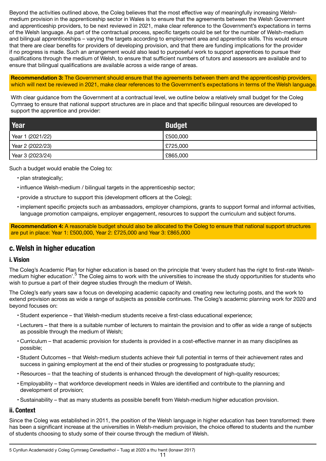<span id="page-10-0"></span>Beyond the activities outlined above, the Coleg believes that the most effective way of meaningfully increasing Welshmedium provision in the apprenticeship sector in Wales is to ensure that the agreements between the Welsh Government and apprenticeship providers, to be next reviewed in 2021, make clear reference to the Government's expectations in terms of the Welsh language. As part of the contractual process, specific targets could be set for the number of Welsh-medium and bilingual apprenticeships – varying the targets according to employment area and apprentice skills. This would ensure that there are clear benefits for providers of developing provision, and that there are funding implications for the provider if no progress is made. Such an arrangement would also lead to purposeful work to support apprentices to pursue their qualifications through the medium of Welsh, to ensure that sufficient numbers of tutors and assessors are available and to ensure that bilingual qualifications are available across a wide range of areas.

**Recommendation 3:** The Government should ensure that the agreements between them and the apprenticeship providers, which will next be reviewed in 2021, make clear references to the Government's expectations in terms of the Welsh language.

With clear guidance from the Government at a contractual level, we outline below a relatively small budget for the Coleg Cymraeg to ensure that national support structures are in place and that specific bilingual resources are developed to support the apprentice and provider:

| Year             | <b>Budget</b> |
|------------------|---------------|
| Year 1 (2021/22) | £500,000      |
| Year 2 (2022/23) | £725,000      |
| Year 3 (2023/24) | £865,000      |

Such a budget would enable the Coleg to:

- plan strategically;
- influence Welsh-medium / bilingual targets in the apprenticeship sector;
- provide a structure to support this (development officers at the Coleg);
- implement specific projects such as ambassadors, employer champions, grants to support formal and informal activities, language promotion campaigns, employer engagement, resources to support the curriculum and subject forums.

**Recommendation 4:** A reasonable budget should also be allocated to the Coleg to ensure that national support structures are put in place: Year 1: £500,000, Year 2: £725,000 and Year 3: £865,000

### **c. Welsh in higher education**

#### **i. Vision**

The Coleg's Academic Plan for higher education is based on the principle that 'every student has the right to first-rate Welshmedium higher education'.<sup>5</sup> The Coleg aims to work with the universities to increase the study opportunities for students who wish to pursue a part of their degree studies through the medium of Welsh.

The Coleg's early years saw a focus on developing academic capacity and creating new lecturing posts, and the work to extend provision across as wide a range of subjects as possible continues. The Coleg's academic planning work for 2020 and beyond focuses on:

- Student experience that Welsh-medium students receive a first-class educational experience;
- Lecturers that there is a suitable number of lecturers to maintain the provision and to offer as wide a range of subjects as possible through the medium of Welsh;
- Curriculum that academic provision for students is provided in a cost-effective manner in as many disciplines as possible;
- Student Outcomes that Welsh-medium students achieve their full potential in terms of their achievement rates and success in gaining employment at the end of their studies or progressing to postgraduate study;
- Resources that the teaching of students is enhanced through the development of high-quality resources;
- Employability that workforce development needs in Wales are identified and contribute to the planning and development of provision;
- Sustainability that as many students as possible benefit from Welsh-medium higher education provision.

#### **ii. Context**

Since the Coleg was established in 2011, the position of the Welsh language in higher education has been transformed: there has been a significant increase at the universities in Welsh-medium provision, the choice offered to students and the number of students choosing to study some of their course through the medium of Welsh.

<sup>5</sup> Cynllun Academaidd y Coleg Cymraeg Cenedlaethol – Tuag at 2020 a thu hwnt (Ionawr 2017)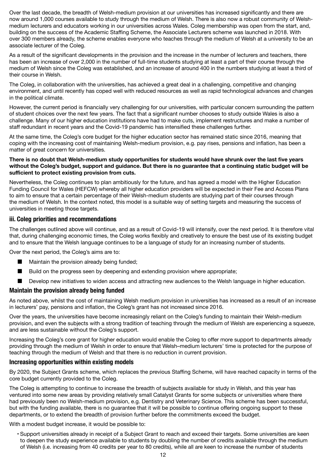<span id="page-11-0"></span>Over the last decade, the breadth of Welsh-medium provision at our universities has increased significantly and there are now around 1,000 courses available to study through the medium of Welsh. There is also now a robust community of Welshmedium lecturers and educators working in our universities across Wales. Coleg membership was open from the start, and, building on the success of the Academic Staffing Scheme, the Associate Lecturers scheme was launched in 2018. With over 300 members already, the scheme enables everyone who teaches through the medium of Welsh at a university to be an associate lecturer of the Coleg.

As a result of the significant developments in the provision and the increase in the number of lecturers and teachers, there has been an increase of over 2,000 in the number of full-time students studying at least a part of their course through the medium of Welsh since the Coleg was established, and an increase of around 400 in the numbers studying at least a third of their course in Welsh.

The Coleg, in collaboration with the universities, has achieved a great deal in a challenging, competitive and changing environment, and until recently has coped well with reduced resources as well as rapid technological advances and changes in the political climate.

However, the current period is financially very challenging for our universities, with particular concern surrounding the pattern of student choices over the next few years. The fact that a significant number chooses to study outside Wales is also a challenge. Many of our higher education institutions have had to make cuts, implement restructures and make a number of staff redundant in recent years and the Covid-19 pandemic has intensified these challenges further.

At the same time, the Coleg's core budget for the higher education sector has remained static since 2016, meaning that coping with the increasing cost of maintaining Welsh-medium provision, e.g. pay rises, pensions and inflation, has been a matter of great concern for universities.

#### **There is no doubt that Welsh-medium study opportunities for students would have shrunk over the last five years without the Coleg's budget, support and guidance. But there is no guarantee that a continuing static budget will be sufficient to protect existing provision from cuts.**

Nevertheless, the Coleg continues to plan ambitiously for the future, and has agreed a model with the Higher Education Funding Council for Wales (HEFCW) whereby all higher education providers will be expected in their Fee and Access Plans to aim to ensure that a certain percentage of their Welsh-medium students are studying part of their courses through the medium of Welsh. In the context noted, this model is a suitable way of setting targets and measuring the success of universities in meeting those targets.

#### **iii. Coleg priorities and recommendations**

The challenges outlined above will continue, and as a result of Covid-19 will intensify, over the next period. It is therefore vital that, during challenging economic times, the Coleg works flexibly and creatively to ensure the best use of its existing budget and to ensure that the Welsh language continues to be a language of study for an increasing number of students.

Over the next period, the Coleg's aims are to:

- Maintain the provision already being funded;
- Build on the progress seen by deepening and extending provision where appropriate;
- Develop new initiatives to widen access and attracting new audiences to the Welsh language in higher education.

#### **Maintain the provision already being funded**

As noted above, whilst the cost of maintaining Welsh medium provision in universities has increased as a result of an increase in lecturers' pay, pensions and inflation, the Coleg's grant has not increased since 2016.

Over the years, the universities have become increasingly reliant on the Coleg's funding to maintain their Welsh-medium provision, and even the subjects with a strong tradition of teaching through the medium of Welsh are experiencing a squeeze, and are less sustainable without the Coleg's support.

Increasing the Coleg's core grant for higher education would enable the Coleg to offer more support to departments already providing through the medium of Welsh in order to ensure that Welsh–medium lecturers' time is protected for the purpose of teaching through the medium of Welsh and that there is no reduction in current provision.

#### **Increasing opportunities within existing models**

By 2020, the Subject Grants scheme, which replaces the previous Staffing Scheme, will have reached capacity in terms of the core budget currently provided to the Coleg.

The Coleg is attempting to continue to increase the breadth of subjects available for study in Welsh, and this year has ventured into some new areas by providing relatively small Catalyst Grants for some subjects or universities where there had previously been no Welsh-medium provision, e.g. Dentistry and Veterinary Science. This scheme has been successful, but with the funding available, there is no guarantee that it will be possible to continue offering ongoing support to these departments, or to extend the breadth of provision further before the commitments exceed the budget.

With a modest budget increase, it would be possible to:

• Support universities already in receipt of a Subject Grant to reach and exceed their targets. Some universities are keen to deepen the study experience available to students by doubling the number of credits available through the medium of Welsh (i.e. increasing from 40 credits per year to 80 credits), while all are keen to increase the number of students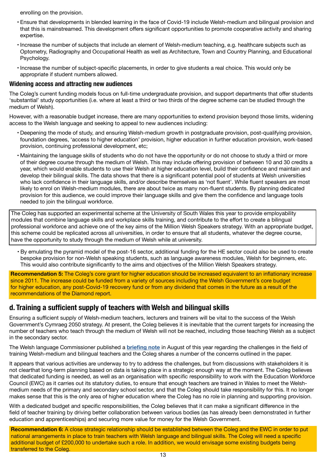<span id="page-12-0"></span>enrolling on the provision.

- Ensure that developments in blended learning in the face of Covid-19 include Welsh-medium and bilingual provision and that this is mainstreamed. This development offers significant opportunities to promote cooperative activity and sharing expertise.
- Increase the number of subjects that include an element of Welsh-medium teaching, e.g. healthcare subjects such as Optometry, Radiography and Occupational Health as well as Architecture, Town and Country Planning, and Educational Psychology.
- Increase the number of subject-specific placements, in order to give students a real choice. This would only be appropriate if student numbers allowed.

#### **Widening access and attracting new audiences**

The Coleg's current funding models focus on full-time undergraduate provision, and support departments that offer students 'substantial' study opportunities (i.e. where at least a third or two thirds of the degree scheme can be studied through the medium of Welsh).

However, with a reasonable budget increase, there are many opportunities to extend provision beyond those limits, widening access to the Welsh language and seeking to appeal to new audiences including:

- Deepening the mode of study, and ensuring Welsh-medium growth in postgraduate provision, post-qualifying provision, foundation degrees, 'access to higher education' provision, higher education in further education provision, work-based provision, continuing professional development, etc;
- Maintaining the language skills of students who do not have the opportunity or do not choose to study a third or more of their degree course through the medium of Welsh. This may include offering provision of between 10 and 30 credits a year, which would enable students to use their Welsh at higher education level, build their confidence and maintain and develop their bilingual skills. The data shows that there is a significant potential pool of students at Welsh universities who lack confidence in their language skills, and/or describe themselves as 'not fluent'. While fluent speakers are most likely to enrol on Welsh-medium modules, there are about twice as many non-fluent students. By planning dedicated provision for this audience, we could improve their language skills and give them the confidence and language tools needed to join the bilingual workforce.

The Coleg has supported an experimental scheme at the University of South Wales this year to provide employability modules that combine language skills and workplace skills training, and contribute to the effort to create a bilingual professional workforce and achieve one of the key aims of the Million Welsh Speakers strategy. With an appropriate budget, this scheme could be replicated across all universities, in order to ensure that all students, whatever the degree course, have the opportunity to study through the medium of Welsh while at university.

• By emulating the pyramid model of the post-16 sector, additional funding for the HE sector could also be used to create bespoke provision for non-Welsh speaking students, such as language awareness modules, Welsh for beginners, etc. This would also contribute significantly to the aims and objectives of the Million Welsh Speakers strategy.

**Recommendation 5:** The Coleg's core grant for higher education should be increased equivalent to an inflationary increase since 2011. The increase could be funded from a variety of sources including the Welsh Government's core budget for higher education, any post-Covid-19 recovery fund or from any dividend that comes in the future as a result of the recommendations of the Diamond report.

### **d. Training a sufficient supply of teachers with Welsh and bilingual skills**

Ensuring a sufficient supply of Welsh-medium teachers, lecturers and trainers will be vital to the success of the Welsh Government's Cymraeg 2050 strategy. At present, the Coleg believes it is inevitable that the current targets for increasing the number of teachers who teach through the medium of Welsh will not be reached, including those teaching Welsh as a subject in the secondary sector.

The Welsh language Commissioner published a **[briefing note](http://www.comisiynyddygymraeg.cymru/English/Publications%20List/The%20Welsh%20language%20and%20the%20statutory%20education%20workforce%20in%20Wales.pdf)** in August of this year regarding the challenges in the field of training Welsh-medium and bilingual teachers and the Coleg shares a number of the concerns outlined in the paper.

It appears that various activities are underway to try to address the challenges, but from discussions with stakeholders it is not clearthat long-term planning based on data is taking place in a strategic enough way at the moment. The Coleg believes that dedicated funding is needed, as well as an organisation with specific responsibility to work with the Education Workforce Council (EWC) as it carries out its statutory duties, to ensure that enough teachers are trained in Wales to meet the Welshmedium needs of the primary and secondary school sector, and that the Coleg should take responsibility for this. It no longer makes sense that this is the only area of higher education where the Coleg has no role in planning and supporting provision.

With a dedicated budget and specific responsibilities, the Coleg believes that it can make a significant difference in the field of teacher training by driving better collaboration between various bodies (as has already been demonstrated in further education and apprenticeships) and securing more value for money for the Welsh Government.

**Recommendation 6:** A close strategic relationship should be established between the Coleg and the EWC in order to put national arrangements in place to train teachers with Welsh language and bilingual skills. The Coleg will need a specific additional budget of £200,000 to undertake such a role. In addition, we would envisage some existing budgets being transferred to the Coleg.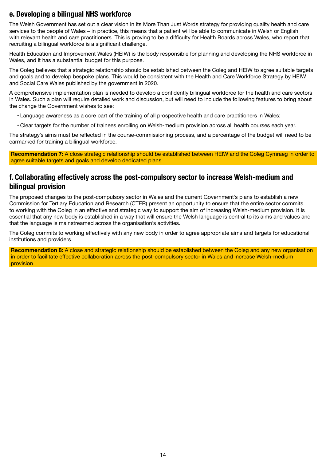# <span id="page-13-0"></span>**e. Developing a bilingual NHS workforce**

The Welsh Government has set out a clear vision in its More Than Just Words strategy for providing quality health and care services to the people of Wales – in practice, this means that a patient will be able to communicate in Welsh or English with relevant health and care practitioners. This is proving to be a difficulty for Health Boards across Wales, who report that recruiting a bilingual workforce is a significant challenge.

Health Education and Improvement Wales (HEIW) is the body responsible for planning and developing the NHS workforce in Wales, and it has a substantial budget for this purpose.

The Coleg believes that a strategic relationship should be established between the Coleg and HEIW to agree suitable targets and goals and to develop bespoke plans. This would be consistent with the Health and Care Workforce Strategy by HEIW and Social Care Wales published by the government in 2020.

A comprehensive implementation plan is needed to develop a confidently bilingual workforce for the health and care sectors in Wales. Such a plan will require detailed work and discussion, but will need to include the following features to bring about the change the Government wishes to see:

- Language awareness as a core part of the training of all prospective health and care practitioners in Wales;
- Clear targets for the number of trainees enrolling on Welsh-medium provision across all health courses each year.

The strategy's aims must be reflected in the course-commissioning process, and a percentage of the budget will need to be earmarked for training a bilingual workforce.

**Recommendation 7:** A close strategic relationship should be established between HEIW and the Coleg Cymraeg in order to agree suitable targets and goals and develop dedicated plans.

## **f. Collaborating effectively across the post-compulsory sector to increase Welsh-medium and bilingual provision**

The proposed changes to the post-compulsory sector in Wales and the current Government's plans to establish a new Commission for Tertiary Education and Research (CTER) present an opportunity to ensure that the entire sector commits to working with the Coleg in an effective and strategic way to support the aim of increasing Welsh-medium provision. It is essential that any new body is established in a way that will ensure the Welsh language is central to its aims and values and that the language is mainstreamed across the organisation's activities.

The Coleg commits to working effectively with any new body in order to agree appropriate aims and targets for educational institutions and providers.

**Recommendation 8:** A close and strategic relationship should be established between the Coleg and any new organisation in order to facilitate effective collaboration across the post-compulsory sector in Wales and increase Welsh-medium provision